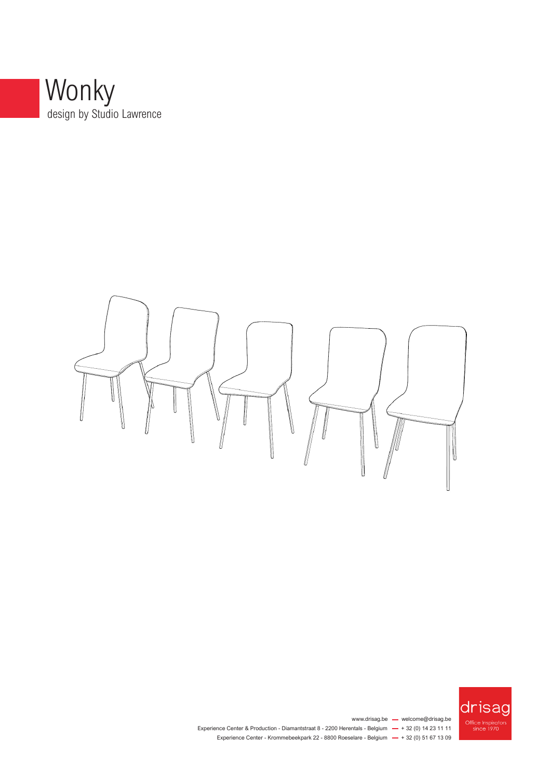





www.drisag.be - welcome@drisag.be Experience Center & Production - Diamantstraat  $8 - 2200$  Herentals - Belgium  $- + 32$  (0) 14 23 11 11 Experience Center - Krommebeekpark 22 - 8800 Roeselare - Belgium  $-$  + 32 (0) 51 67 13 09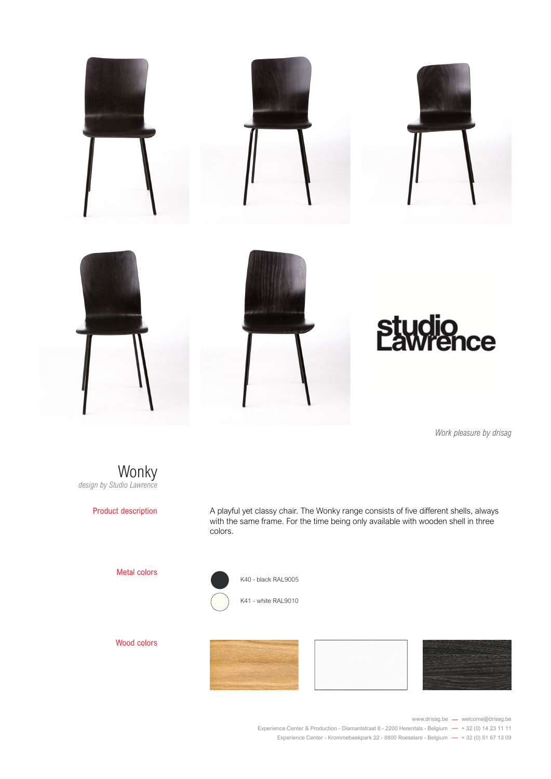

*Work pleasure by drisag*



Product description

A playful yet classy chair. The Wonky range consists of five different shells, always A playiul yet classy criair. The worky range consists of live different shells, always<br>with the same frame. For the time being only available with wooden shell in three colors.



Wood colors

Metal colors







www.drisag.be - welcome@drisag.be

Experience Center & Production - Diamantstraat 8 - 2200 Herentals - Belgium  $-$  + 32 (0) 14 23 11 11 Experience Center - Krommebeekpark 22 - 8800 Roeselare - Belgium  $-$  + 32 (0) 51 67 13 09